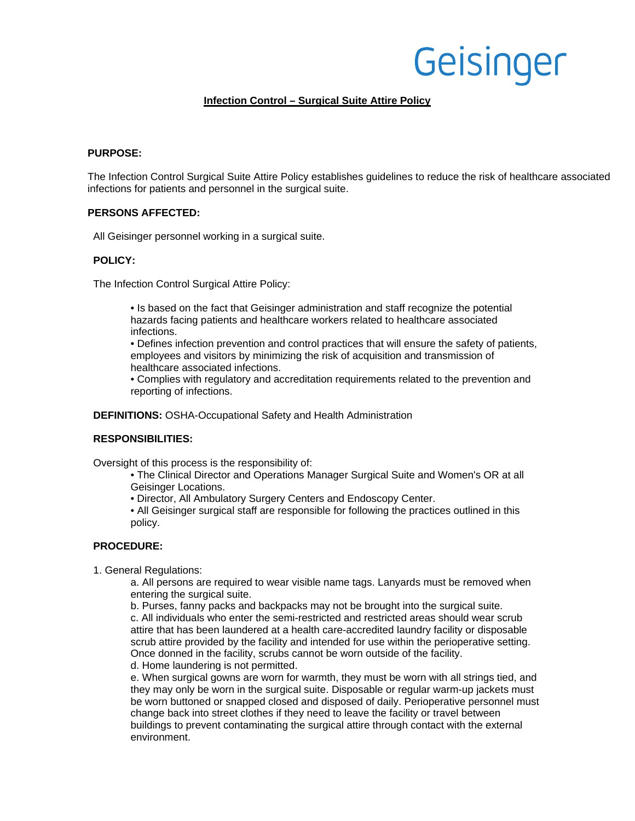# Geisinger

# **Infection Control – Surgical Suite Attire Policy**

## **PURPOSE:**

The Infection Control Surgical Suite Attire Policy establishes guidelines to reduce the risk of healthcare associated infections for patients and personnel in the surgical suite.

# **PERSONS AFFECTED:**

All Geisinger personnel working in a surgical suite.

#### **POLICY:**

The Infection Control Surgical Attire Policy:

• Is based on the fact that Geisinger administration and staff recognize the potential hazards facing patients and healthcare workers related to healthcare associated infections.

• Defines infection prevention and control practices that will ensure the safety of patients, employees and visitors by minimizing the risk of acquisition and transmission of healthcare associated infections.

• Complies with regulatory and accreditation requirements related to the prevention and reporting of infections.

**DEFINITIONS:** OSHA-Occupational Safety and Health Administration

## **RESPONSIBILITIES:**

Oversight of this process is the responsibility of:

• The Clinical Director and Operations Manager Surgical Suite and Women's OR at all Geisinger Locations.

• Director, All Ambulatory Surgery Centers and Endoscopy Center.

• All Geisinger surgical staff are responsible for following the practices outlined in this policy.

## **PROCEDURE:**

1. General Regulations:

a. All persons are required to wear visible name tags. Lanyards must be removed when entering the surgical suite.

b. Purses, fanny packs and backpacks may not be brought into the surgical suite. c. All individuals who enter the semi-restricted and restricted areas should wear scrub attire that has been laundered at a health care-accredited laundry facility or disposable scrub attire provided by the facility and intended for use within the perioperative setting. Once donned in the facility, scrubs cannot be worn outside of the facility. d. Home laundering is not permitted.

e. When surgical gowns are worn for warmth, they must be worn with all strings tied, and they may only be worn in the surgical suite. Disposable or regular warm-up jackets must be worn buttoned or snapped closed and disposed of daily. Perioperative personnel must change back into street clothes if they need to leave the facility or travel between buildings to prevent contaminating the surgical attire through contact with the external environment.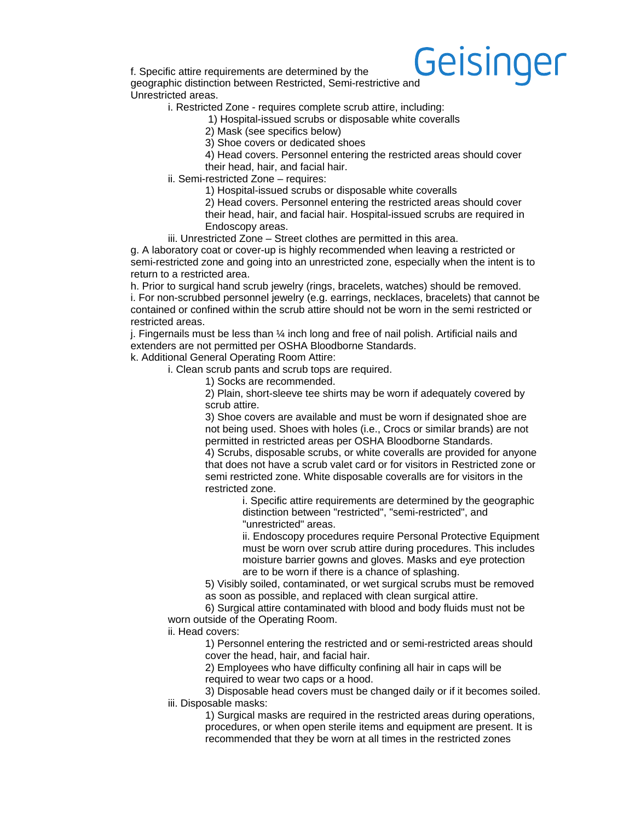

f. Specific attire requirements are determined by the geographic distinction between Restricted, Semi-restrictive and Unrestricted areas.

i. Restricted Zone - requires complete scrub attire, including:

1) Hospital-issued scrubs or disposable white coveralls

2) Mask (see specifics below)

3) Shoe covers or dedicated shoes

4) Head covers. Personnel entering the restricted areas should cover their head, hair, and facial hair.

ii. Semi-restricted Zone – requires:

1) Hospital-issued scrubs or disposable white coveralls

2) Head covers. Personnel entering the restricted areas should cover their head, hair, and facial hair. Hospital-issued scrubs are required in Endoscopy areas.

iii. Unrestricted Zone – Street clothes are permitted in this area.

g. A laboratory coat or cover-up is highly recommended when leaving a restricted or semi-restricted zone and going into an unrestricted zone, especially when the intent is to return to a restricted area.

h. Prior to surgical hand scrub jewelry (rings, bracelets, watches) should be removed. i. For non-scrubbed personnel jewelry (e.g. earrings, necklaces, bracelets) that cannot be contained or confined within the scrub attire should not be worn in the semi restricted or restricted areas.

i. Fingernails must be less than  $\frac{1}{4}$  inch long and free of nail polish. Artificial nails and extenders are not permitted per OSHA Bloodborne Standards.

k. Additional General Operating Room Attire:

i. Clean scrub pants and scrub tops are required.

1) Socks are recommended.

2) Plain, short-sleeve tee shirts may be worn if adequately covered by scrub attire.

3) Shoe covers are available and must be worn if designated shoe are not being used. Shoes with holes (i.e., Crocs or similar brands) are not permitted in restricted areas per OSHA Bloodborne Standards.

4) Scrubs, disposable scrubs, or white coveralls are provided for anyone that does not have a scrub valet card or for visitors in Restricted zone or semi restricted zone. White disposable coveralls are for visitors in the restricted zone.

> i. Specific attire requirements are determined by the geographic distinction between "restricted", "semi-restricted", and "unrestricted" areas.

ii. Endoscopy procedures require Personal Protective Equipment must be worn over scrub attire during procedures. This includes moisture barrier gowns and gloves. Masks and eye protection are to be worn if there is a chance of splashing.

5) Visibly soiled, contaminated, or wet surgical scrubs must be removed as soon as possible, and replaced with clean surgical attire.

6) Surgical attire contaminated with blood and body fluids must not be worn outside of the Operating Room.

ii. Head covers:

1) Personnel entering the restricted and or semi-restricted areas should cover the head, hair, and facial hair.

2) Employees who have difficulty confining all hair in caps will be required to wear two caps or a hood.

3) Disposable head covers must be changed daily or if it becomes soiled. iii. Disposable masks:

1) Surgical masks are required in the restricted areas during operations, procedures, or when open sterile items and equipment are present. It is recommended that they be worn at all times in the restricted zones